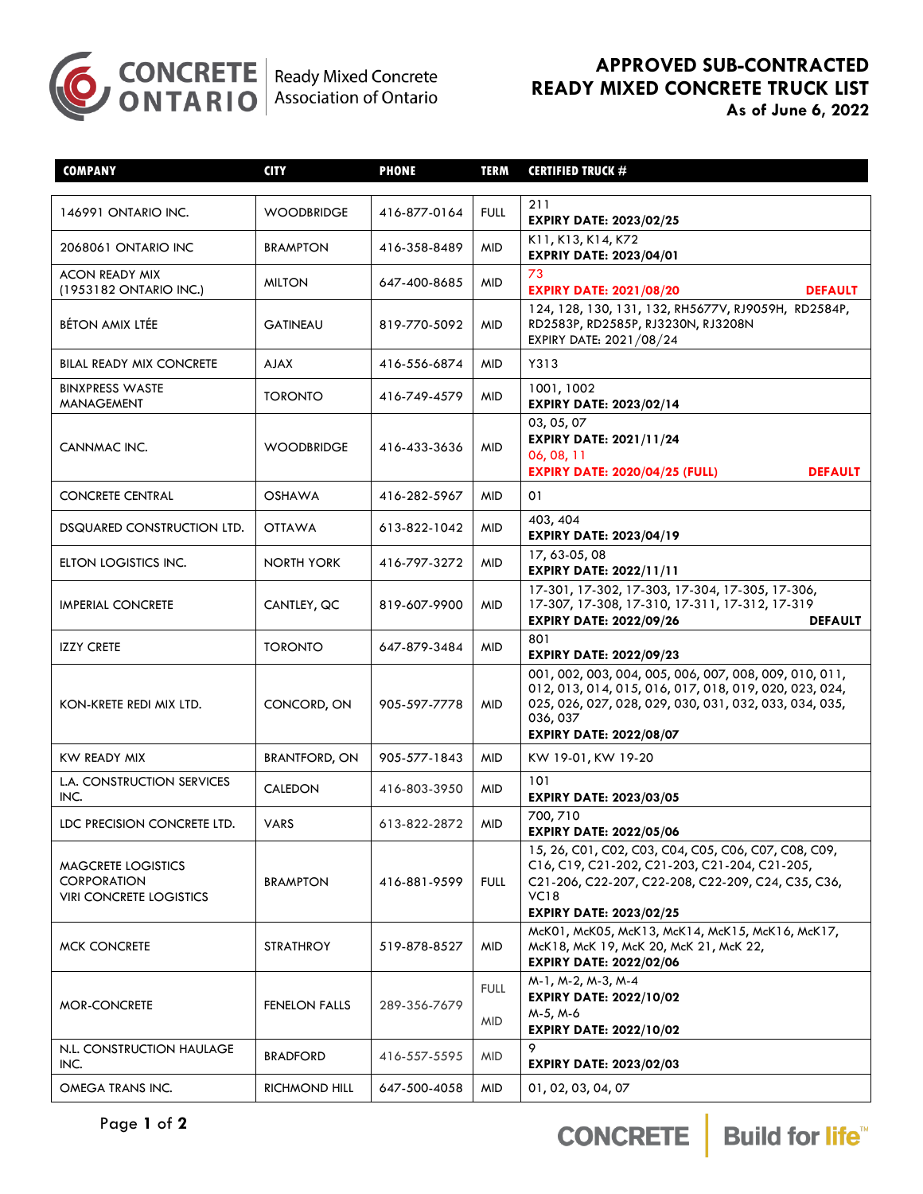

## **APPROVED SUB-CONTRACTED READY MIXED CONCRETE TRUCK LIST**

|  |  |  |  | As of June 6, 2022 |  |
|--|--|--|--|--------------------|--|
|--|--|--|--|--------------------|--|

| <b>COMPANY</b>                                                             | <b>CITY</b>          | <b>PHONE</b> | <b>TERM</b>               | <b>CERTIFIED TRUCK #</b>                                                                                                                                                                                                |
|----------------------------------------------------------------------------|----------------------|--------------|---------------------------|-------------------------------------------------------------------------------------------------------------------------------------------------------------------------------------------------------------------------|
| 146991 ONTARIO INC.                                                        | <b>WOODBRIDGE</b>    | 416-877-0164 | <b>FULL</b>               | 211<br><b>EXPIRY DATE: 2023/02/25</b>                                                                                                                                                                                   |
| 2068061 ONTARIO INC                                                        | <b>BRAMPTON</b>      | 416-358-8489 | <b>MID</b>                | K11, K13, K14, K72<br><b>EXPRIY DATE: 2023/04/01</b>                                                                                                                                                                    |
| <b>ACON READY MIX</b><br>(1953182 ONTARIO INC.)                            | <b>MILTON</b>        | 647-400-8685 | <b>MID</b>                | 73<br><b>EXPIRY DATE: 2021/08/20</b><br><b>DEFAULT</b>                                                                                                                                                                  |
| <b>BÉTON AMIX LTÉE</b>                                                     | <b>GATINEAU</b>      | 819-770-5092 | <b>MID</b>                | 124, 128, 130, 131, 132, RH5677V, RJ9059H, RD2584P,<br>RD2583P, RD2585P, RJ3230N, RJ3208N<br>EXPIRY DATE: 2021/08/24                                                                                                    |
| <b>BILAL READY MIX CONCRETE</b>                                            | <b>AJAX</b>          | 416-556-6874 | <b>MID</b>                | Y313                                                                                                                                                                                                                    |
| <b>BINXPRESS WASTE</b><br><b>MANAGEMENT</b>                                | <b>TORONTO</b>       | 416-749-4579 | <b>MID</b>                | 1001, 1002<br><b>EXPIRY DATE: 2023/02/14</b>                                                                                                                                                                            |
| CANNMAC INC.                                                               | <b>WOODBRIDGE</b>    | 416-433-3636 | <b>MID</b>                | 03, 05, 07<br><b>EXPIRY DATE: 2021/11/24</b><br>06, 08, 11<br><b>EXPIRY DATE: 2020/04/25 (FULL)</b><br><b>DEFAULT</b>                                                                                                   |
| <b>CONCRETE CENTRAL</b>                                                    | <b>OSHAWA</b>        | 416-282-5967 | <b>MID</b>                | 01                                                                                                                                                                                                                      |
| DSQUARED CONSTRUCTION LTD.                                                 | <b>OTTAWA</b>        | 613-822-1042 | <b>MID</b>                | 403, 404<br><b>EXPIRY DATE: 2023/04/19</b>                                                                                                                                                                              |
| ELTON LOGISTICS INC.                                                       | <b>NORTH YORK</b>    | 416-797-3272 | <b>MID</b>                | 17,63-05,08<br><b>EXPIRY DATE: 2022/11/11</b>                                                                                                                                                                           |
| <b>IMPERIAL CONCRETE</b>                                                   | CANTLEY, QC          | 819-607-9900 | <b>MID</b>                | 17-301, 17-302, 17-303, 17-304, 17-305, 17-306,<br>17-307, 17-308, 17-310, 17-311, 17-312, 17-319<br><b>EXPIRY DATE: 2022/09/26</b><br><b>DEFAULT</b>                                                                   |
| <b>IZZY CRETE</b>                                                          | <b>TORONTO</b>       | 647-879-3484 | <b>MID</b>                | 801<br><b>EXPIRY DATE: 2022/09/23</b>                                                                                                                                                                                   |
| KON-KRETE REDI MIX LTD.                                                    | CONCORD, ON          | 905-597-7778 | <b>MID</b>                | 001, 002, 003, 004, 005, 006, 007, 008, 009, 010, 011,<br>012, 013, 014, 015, 016, 017, 018, 019, 020, 023, 024,<br>025, 026, 027, 028, 029, 030, 031, 032, 033, 034, 035,<br>036,037<br><b>EXPIRY DATE: 2022/08/07</b> |
| KW READY MIX                                                               | <b>BRANTFORD, ON</b> | 905-577-1843 | <b>MID</b>                | KW 19-01, KW 19-20                                                                                                                                                                                                      |
| L.A. CONSTRUCTION SERVICES<br>INC.                                         | CALEDON              | 416-803-3950 | <b>MID</b>                | 101<br><b>EXPIRY DATE: 2023/03/05</b>                                                                                                                                                                                   |
| LDC PRECISION CONCRETE LTD.                                                | <b>VARS</b>          | 613-822-2872 | <b>MID</b>                | 700,710<br><b>EXPIRY DATE: 2022/05/06</b>                                                                                                                                                                               |
| MAGCRETE LOGISTICS<br><b>CORPORATION</b><br><b>VIRI CONCRETE LOGISTICS</b> | <b>BRAMPTON</b>      | 416-881-9599 | <b>FULL</b>               | 15, 26, C01, C02, C03, C04, C05, C06, C07, C08, C09,<br>C16, C19, C21-202, C21-203, C21-204, C21-205,<br>C21-206, C22-207, C22-208, C22-209, C24, C35, C36,<br><b>VC18</b><br><b>EXPIRY DATE: 2023/02/25</b>            |
| <b>MCK CONCRETE</b>                                                        | <b>STRATHROY</b>     | 519-878-8527 | <b>MID</b>                | McK01, McK05, McK13, McK14, McK15, McK16, McK17,<br>McK18, McK 19, McK 20, McK 21, McK 22,<br><b>EXPIRY DATE: 2022/02/06</b>                                                                                            |
| <b>MOR-CONCRETE</b>                                                        | <b>FENELON FALLS</b> | 289-356-7679 | <b>FULL</b><br><b>MID</b> | M-1, M-2, M-3, M-4<br><b>EXPIRY DATE: 2022/10/02</b><br>M-5, M-6<br><b>EXPIRY DATE: 2022/10/02</b>                                                                                                                      |
| N.L. CONSTRUCTION HAULAGE<br>INC.                                          | <b>BRADFORD</b>      | 416-557-5595 | <b>MID</b>                | 9<br><b>EXPIRY DATE: 2023/02/03</b>                                                                                                                                                                                     |
| OMEGA TRANS INC.                                                           | RICHMOND HILL        | 647-500-4058 | <b>MID</b>                | 01, 02, 03, 04, 07                                                                                                                                                                                                      |

CONCRETE Build for life™